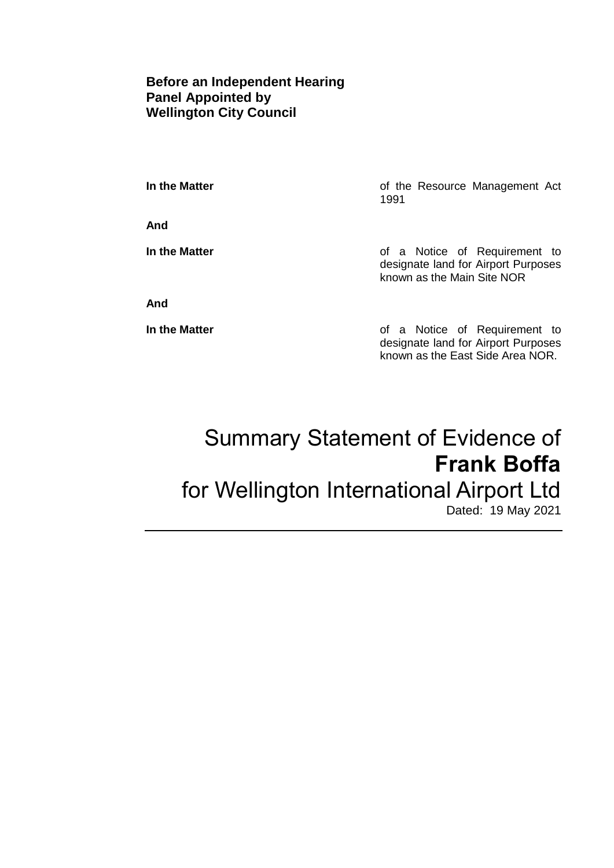### **Before an Independent Hearing Panel Appointed by Wellington City Council**

**And**

**In the Matter In the Matter of the Resource Management Act** 1991

**In the Matter In the Matter of a Notice of Requirement to** designate land for Airport Purposes known as the Main Site NOR

**And**

**In the Matter of a Notice of Requirement to** designate land for Airport Purposes known as the East Side Area NOR.

# Summary Statement of Evidence of **Frank Boffa** for Wellington International Airport Ltd Dated: 19 May 2021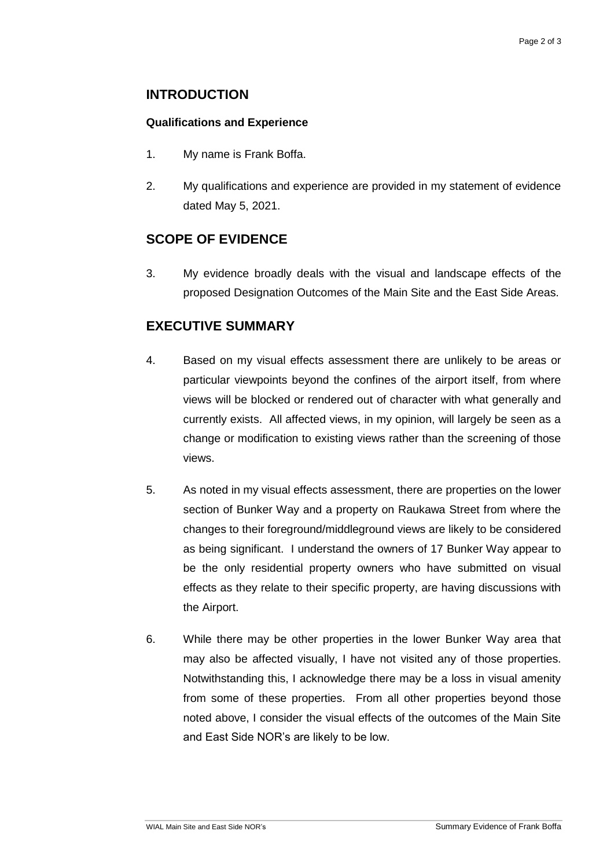## **INTRODUCTION**

#### **Qualifications and Experience**

- 1. My name is Frank Boffa.
- 2. My qualifications and experience are provided in my statement of evidence dated May 5, 2021.

## **SCOPE OF EVIDENCE**

3. My evidence broadly deals with the visual and landscape effects of the proposed Designation Outcomes of the Main Site and the East Side Areas.

## **EXECUTIVE SUMMARY**

- 4. Based on my visual effects assessment there are unlikely to be areas or particular viewpoints beyond the confines of the airport itself, from where views will be blocked or rendered out of character with what generally and currently exists. All affected views, in my opinion, will largely be seen as a change or modification to existing views rather than the screening of those views.
- 5. As noted in my visual effects assessment, there are properties on the lower section of Bunker Way and a property on Raukawa Street from where the changes to their foreground/middleground views are likely to be considered as being significant. I understand the owners of 17 Bunker Way appear to be the only residential property owners who have submitted on visual effects as they relate to their specific property, are having discussions with the Airport.
- 6. While there may be other properties in the lower Bunker Way area that may also be affected visually, I have not visited any of those properties. Notwithstanding this, I acknowledge there may be a loss in visual amenity from some of these properties. From all other properties beyond those noted above, I consider the visual effects of the outcomes of the Main Site and East Side NOR's are likely to be low.